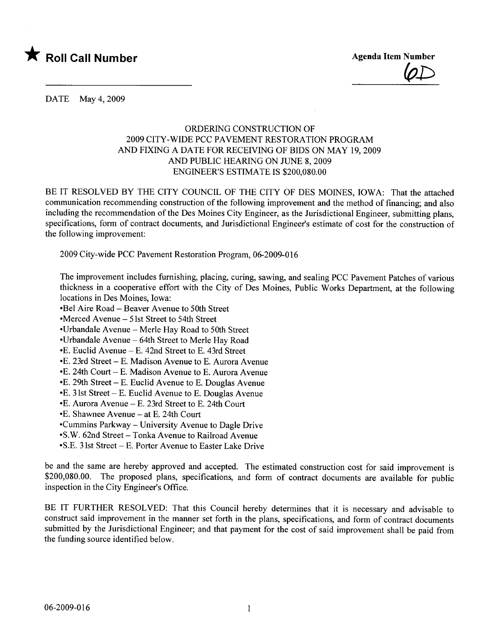

 $\n \ \, \varphi \bot$ 

DATE May 4, 2009

### ORDERING CONSTRUCTION OF 2009 CITY-WIDE PCC PAVEMENT RESTORATION PROGRAM AND FIXING A DATE FOR RECEIVING OF BIDS ON MAY 19,2009 AND PUBLIC HEARING ON JUNE 8, 2009 ENGINEER'S ESTIMATE IS \$200,080.00

BE IT RESOLVED BY THE CITY COUNCIL OF THE CITY OF DES MOINES, IOWA: That the attached communication recommending construction of the following improvement and the method of financing; and also including the recommendation of the Des Moines City Engineer, as the Jurisdictional Engineer, submitting plans, specifications, form of contract documents, and Jurisdictional Engineer's estimate of cost for the construction of the following improvement:

2009 City-wide PCC Pavement Restoration Program, 06-2009-016

The improvement includes furnishing, placing, curing, sawing, and sealing PCC Pavement Patches of various thickness in a cooperative effort with the City of Des Moines, Public Works Department, at the following locations in Des Moines, Iowa:

-Bel Aire Road - Beaver Avenue to 50th Street

-Merced Avenue - 51st Street to 54th Street

-Urbandale Avenue - Merle Hay Road to 50th Street

-Urbandale Avenue - 64th Street to Merle Hay Road

-E. Euclid Avenue - E. 42nd Street to E. 43rd Street

- E. 23rd Street - E. Madison Avenue to E. Aurora Avenue

 $\cdot$ E. 24th Court – E. Madison Avenue to E. Aurora Avenue

-E. 29th Street - E. Euclid Avenue to E. Douglas Avenue

 $\bullet$  E. 31st Street – E. Euclid Avenue to E. Douglas Avenue

-E. Aurora Avenue - E. 23rd Street to E. 24th Court

-E. Shawnee Avenue - at E. 24th Court

-Cummins Parkway - University Avenue to Dagle Drive

-S.W. 62nd Street - Tonka Avenue to Railroad Avenue

-S.E. 31st Street - E. Porter Avenue to Easter Lake Drive

be and the same are hereby approved and accepted. The estimated construction cost for said improvement is \$200,080.00. The proposed plans, specifications, and form of contract documents are available for public inspection in the City Engineer's Office.

BE IT FURTHER RESOLVED: That this Council hereby determines that it is necessary and advisable to construct said improvement in the manner set forth in the plans, specifications, and form of contract documents submitted by the Jurisdictional Engineer; and that payment for the cost of said improvement shall be paid from the funding source identified below.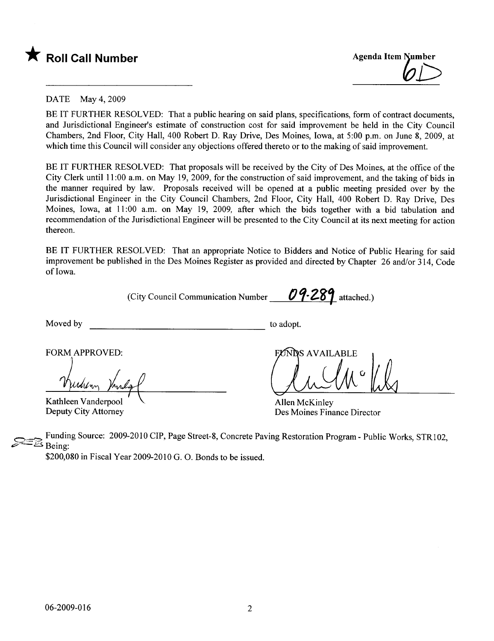



#### DATE May 4, 2009

BE IT FURTHER RESOLVED: That a public hearing on said plans, specifications, form of contract documents, and Jurisdictional Engineer's estimate of construction cost for said improvement be held in the City Council Chambers, 2nd Floor, City Hall, 400 Robert D. Ray Drive, Des Moines, Iowa, at 5:00 p.m. on June 8, 2009, at which time this Council will consider any objections offered thereto or to the making of said improvement.

BE IT FURTHER RESOLVED: That proposals will be received by the City of Des Moines, at the office of the City Clerk until 11 :00 a.m. on May 19, 2009, for the construction of said improvement, and the taking of bids in the manner required by law. Proposals received will be opened at a public meeting presided over by the Jurisdictional Engineer in the City Council Chambers, 2nd Floor, City Hall, 400 Robert D. Ray Drive, Des Moines, Iowa, at 11:00 a.m. on May 19, 2009, after which the bids together with a bid tabulation and recommendation of the Jurisdictional Engineer wil be presented to the City Council at its next meeting for action thereon.

BE IT FURTHER RESOLVED: That an appropriate Notice to Bidders and Notice of Public Hearing for said improvement be published in the Des Moines Register as provided and directed by Chapter 26 and/or 314, Code of Iowa.

(City Council Communication Number  $09.289$  attached.)

Moved by to adopt.

FORM APPROVED:

Kathleen Vanderpool Deputy City Attorney

**NDS AVAILABLE** Club W Lly

Allen McKinley Des Moines Finance Director

Funding Source: 2009-2010 CIP, Page Street-8, Concrete Paving Restoration Program - Public Works, STR102, Being:

\$200,080 in Fiscal Year 2009-2010 G. O. Bonds to be issued.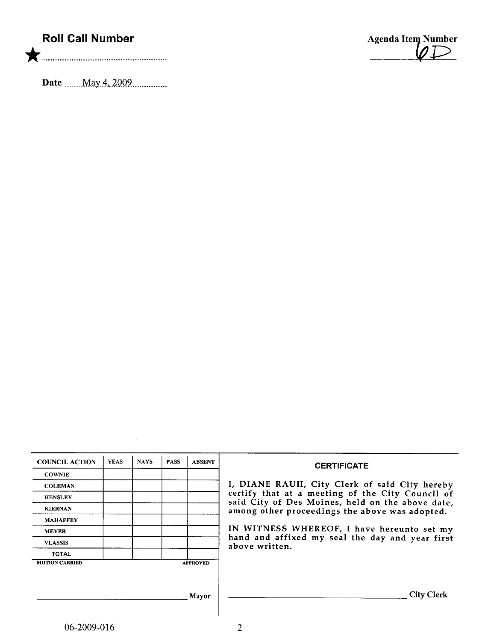# Roll Call Number

Date \_\_\_\_\_.\_\_M.a.yA-'.iQQ9............\_\_

Agenda Item Number

| <b>COUNCIL ACTION</b> | <b>YEAS</b> | <b>NAYS</b> | <b>PASS</b> | <b>ABSENT</b>   | <b>CERTIFICATE</b>                                                                                   |  |  |  |  |
|-----------------------|-------------|-------------|-------------|-----------------|------------------------------------------------------------------------------------------------------|--|--|--|--|
| <b>COWNIE</b>         |             |             |             |                 |                                                                                                      |  |  |  |  |
| <b>COLEMAN</b>        |             |             |             |                 | I, DIANE RAUH, City Clerk of said City hereby                                                        |  |  |  |  |
| <b>HENSLEY</b>        |             |             |             |                 | certify that at a meeting of the City Council of<br>said City of Des Moines, held on the above date, |  |  |  |  |
| <b>KIERNAN</b>        |             |             |             |                 | among other proceedings the above was adopted.                                                       |  |  |  |  |
| <b>MAHAFFEY</b>       |             |             |             |                 |                                                                                                      |  |  |  |  |
| <b>MEYER</b>          |             |             |             |                 | IN WITNESS WHEREOF, I have hereunto set my                                                           |  |  |  |  |
| <b>VLASSIS</b>        |             |             |             |                 | hand and affixed my seal the day and year first<br>above written.                                    |  |  |  |  |
| <b>TOTAL</b>          |             |             |             |                 |                                                                                                      |  |  |  |  |
| <b>MOTION CARRIED</b> |             |             |             | <b>APPROVED</b> |                                                                                                      |  |  |  |  |
|                       |             |             |             |                 |                                                                                                      |  |  |  |  |
|                       |             |             |             |                 |                                                                                                      |  |  |  |  |
| <b>Mayor</b>          |             |             |             |                 | <b>City Clerk</b>                                                                                    |  |  |  |  |
|                       |             |             |             |                 |                                                                                                      |  |  |  |  |
|                       |             |             |             |                 |                                                                                                      |  |  |  |  |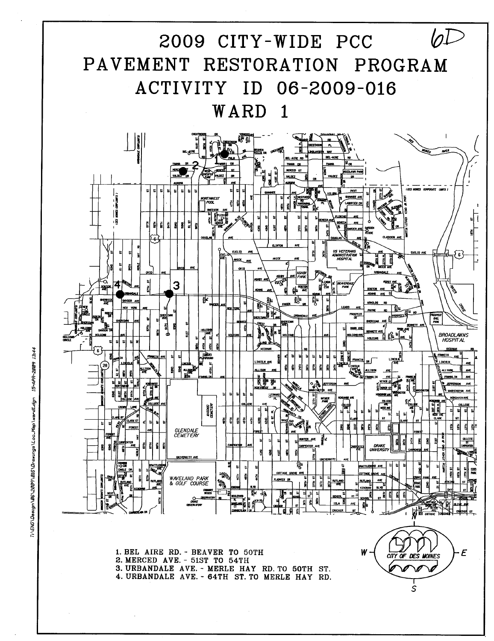

15-APR-2009 13:44 T:\ENG\Design\06\2009\016\Drawings\Loo\_Map\ward1.dgn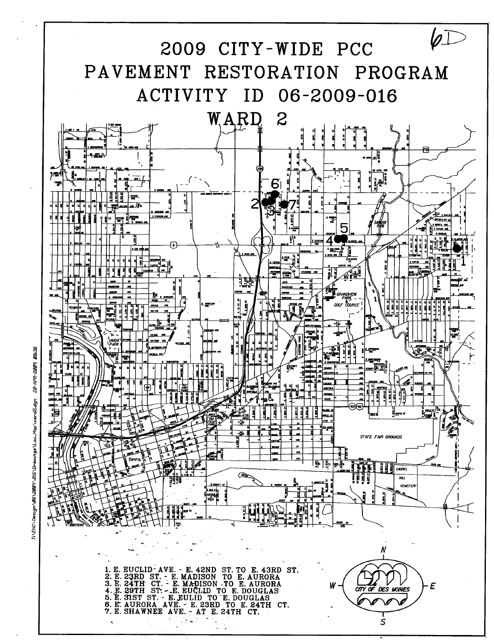

20-APR-2009 08:36 T:\ENG\Des1gn\06\2009\016\Drew1ngs\Loc\_Map\ward2.dgn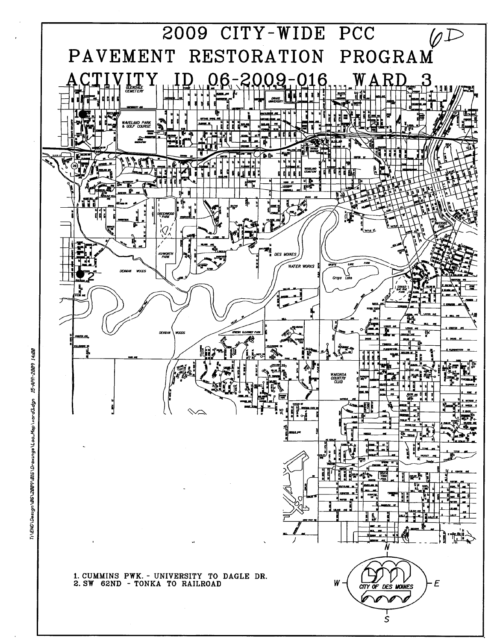

15-APR-2009 Ti \ENG\Des1gn \Ø6\2009\016\Drawings \Loo\_Map \ward3.dgn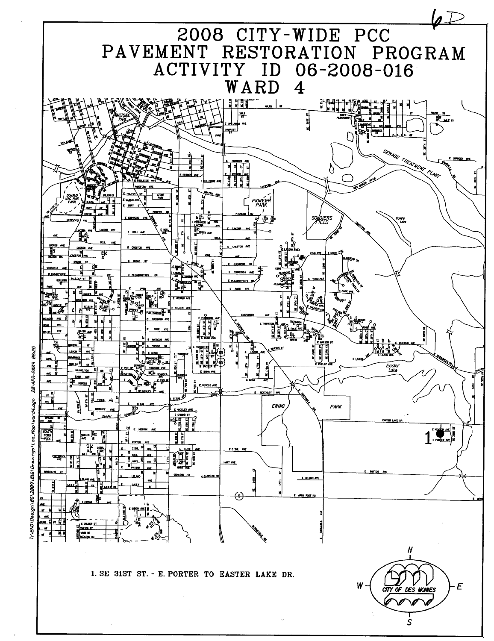